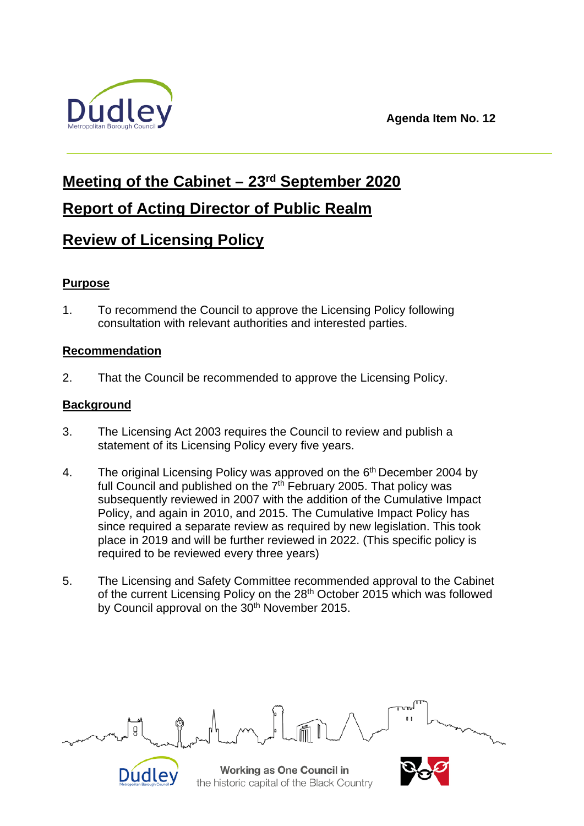**Agenda Item No. 12**



# **Meeting of the Cabinet – 23rd September 2020**

**Report of Acting Director of Public Realm**

# **Review of Licensing Policy**

# **Purpose**

1. To recommend the Council to approve the Licensing Policy following consultation with relevant authorities and interested parties.

# **Recommendation**

2. That the Council be recommended to approve the Licensing Policy.

# **Background**

- 3. The Licensing Act 2003 requires the Council to review and publish a statement of its Licensing Policy every five years.
- 4. The original Licensing Policy was approved on the  $6<sup>th</sup>$  December 2004 by full Council and published on the  $7<sup>th</sup>$  February 2005. That policy was subsequently reviewed in 2007 with the addition of the Cumulative Impact Policy, and again in 2010, and 2015. The Cumulative Impact Policy has since required a separate review as required by new legislation. This took place in 2019 and will be further reviewed in 2022. (This specific policy is required to be reviewed every three years)
- 5. The Licensing and Safety Committee recommended approval to the Cabinet of the current Licensing Policy on the 28<sup>th</sup> October 2015 which was followed by Council approval on the 30<sup>th</sup> November 2015.



Working as One Council in the historic capital of the Black Country

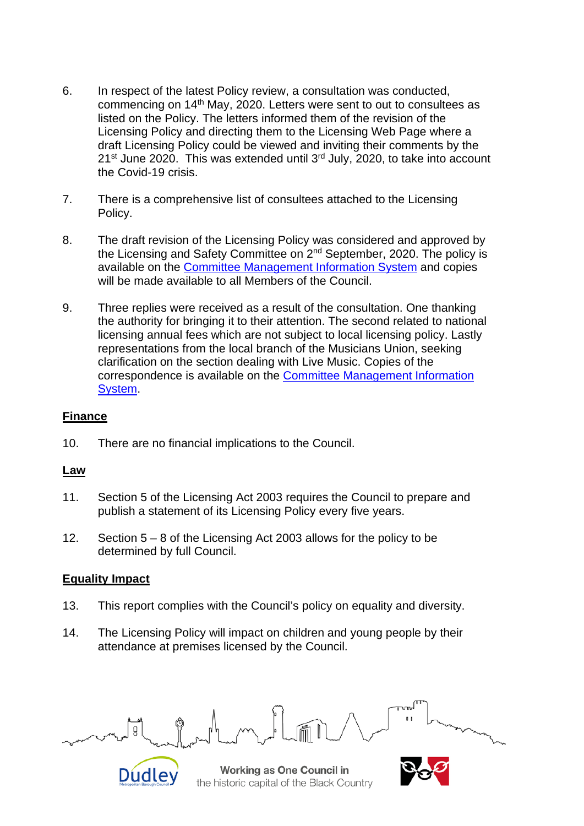- 6. In respect of the latest Policy review, a consultation was conducted, commencing on 14th May, 2020. Letters were sent to out to consultees as listed on the Policy. The letters informed them of the revision of the Licensing Policy and directing them to the Licensing Web Page where a draft Licensing Policy could be viewed and inviting their comments by the  $21^{st}$  June 2020. This was extended until  $3^{rd}$  July, 2020, to take into account the Covid-19 crisis.
- 7. There is a comprehensive list of consultees attached to the Licensing Policy.
- 8. The draft revision of the Licensing Policy was considered and approved by the Licensing and Safety Committee on 2nd September, 2020. The policy is available on the [Committee Management Information System](http://cmis.dudley.gov.uk/cmis5/Meetings/tabid/116/ctl/ViewMeetingPublic/mid/543/Meeting/6161/Committee/488/SelectedTab/Documents/Default.aspx) and copies will be made available to all Members of the Council.
- 9. Three replies were received as a result of the consultation. One thanking the authority for bringing it to their attention. The second related to national licensing annual fees which are not subject to local licensing policy. Lastly representations from the local branch of the Musicians Union, seeking clarification on the section dealing with Live Music. Copies of the correspondence is available on the [Committee Management Information](http://cmis.dudley.gov.uk/cmis5/Meetings/tabid/116/ctl/ViewMeetingPublic/mid/543/Meeting/6161/Committee/488/SelectedTab/Documents/Default.aspx)  [System.](http://cmis.dudley.gov.uk/cmis5/Meetings/tabid/116/ctl/ViewMeetingPublic/mid/543/Meeting/6161/Committee/488/SelectedTab/Documents/Default.aspx)

### **Finance**

10. There are no financial implications to the Council.

#### **Law**

- 11. Section 5 of the Licensing Act 2003 requires the Council to prepare and publish a statement of its Licensing Policy every five years.
- 12. Section 5 8 of the Licensing Act 2003 allows for the policy to be determined by full Council.

#### **Equality Impact**

- 13. This report complies with the Council's policy on equality and diversity.
- 14. The Licensing Policy will impact on children and young people by their attendance at premises licensed by the Council.



Working as One Council in the historic capital of the Black Country